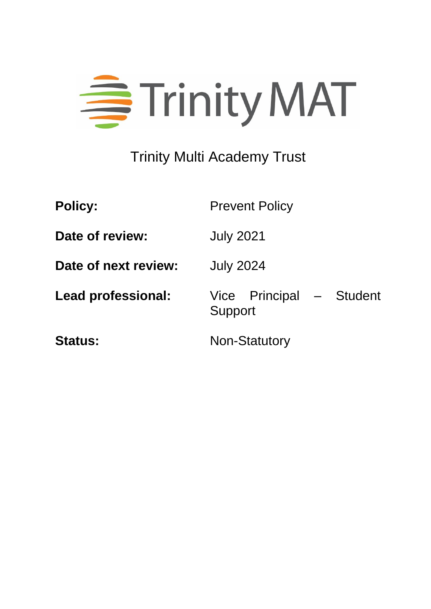

# Trinity Multi Academy Trust

| <b>Policy:</b>            | <b>Prevent Policy</b>               |
|---------------------------|-------------------------------------|
| Date of review:           | <b>July 2021</b>                    |
| Date of next review:      | <b>July 2024</b>                    |
| <b>Lead professional:</b> | Vice Principal - Student<br>Support |
| <b>Status:</b>            | <b>Non-Statutory</b>                |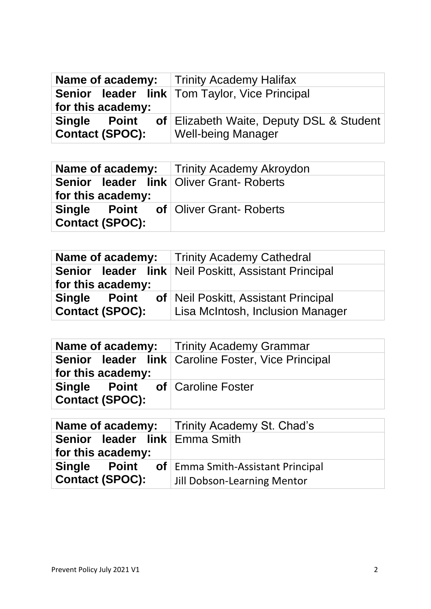|                                               | <b>Name of academy:</b> Trinity Academy Halifax                       |
|-----------------------------------------------|-----------------------------------------------------------------------|
| for this academy:                             | <b>Senior leader link   Tom Taylor, Vice Principal</b>                |
| <b>Single Point</b><br><b>Contact (SPOC):</b> | of Elizabeth Waite, Deputy DSL & Student<br><b>Well-being Manager</b> |

|                                                                       | <b>Name of academy:</b> Trinity Academy Akroydon |
|-----------------------------------------------------------------------|--------------------------------------------------|
| <b>Senior leader link Oliver Grant- Roberts</b><br>for this academy:  |                                                  |
| <b>Single Point of Oliver Grant-Roberts</b><br><b>Contact (SPOC):</b> |                                                  |

|                                               | <b>Name of academy:</b> Trinity Academy Cathedral                        |
|-----------------------------------------------|--------------------------------------------------------------------------|
| for this academy:                             | Senior leader link   Neil Poskitt, Assistant Principal                   |
| <b>Single Point</b><br><b>Contact (SPOC):</b> | of Neil Poskitt, Assistant Principal<br>Lisa McIntosh, Inclusion Manager |

|                                                                  | <b>Name of academy:</b> Trinity Academy Grammar      |
|------------------------------------------------------------------|------------------------------------------------------|
| for this academy:                                                | Senior leader link   Caroline Foster, Vice Principal |
| <b>Single Point of Caroline Foster</b><br><b>Contact (SPOC):</b> |                                                      |

|                               | <b>Name of academy:</b>   Trinity Academy St. Chad's |
|-------------------------------|------------------------------------------------------|
| Senior leader link Emma Smith |                                                      |
| for this academy:             |                                                      |
| <b>Single Point</b>           | <b>of</b>   Emma Smith-Assistant Principal           |
| <b>Contact (SPOC):</b>        | Jill Dobson-Learning Mentor                          |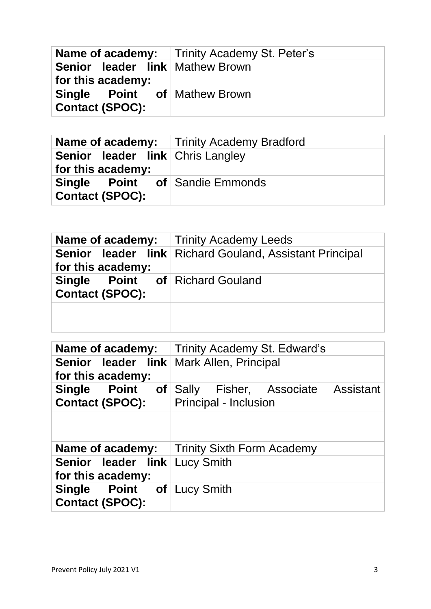|                                                               | <b>Name of academy:</b> Trinity Academy St. Peter's |
|---------------------------------------------------------------|-----------------------------------------------------|
| Senior leader link Mathew Brown<br>for this academy:          |                                                     |
| <b>Single Point of Mathew Brown</b><br><b>Contact (SPOC):</b> |                                                     |

|                                                                 | <b>Name of academy:</b>   Trinity Academy Bradford |
|-----------------------------------------------------------------|----------------------------------------------------|
| <b>Senior leader link Chris Langley</b><br>for this academy:    |                                                    |
| <b>Single Point of Sandie Emmonds</b><br><b>Contact (SPOC):</b> |                                                    |

|                                                                  | <b>Name of academy:</b> Trinity Academy Leeds                  |
|------------------------------------------------------------------|----------------------------------------------------------------|
| for this academy:                                                | <b>Senior leader link Richard Gouland, Assistant Principal</b> |
| <b>Single Point of Richard Gouland</b><br><b>Contact (SPOC):</b> |                                                                |
|                                                                  |                                                                |

| Name of academy:                                                | Trinity Academy St. Edward's                                         |
|-----------------------------------------------------------------|----------------------------------------------------------------------|
| Senior leader link   Mark Allen, Principal<br>for this academy: |                                                                      |
| Single Point<br><b>Contact (SPOC):</b>                          | <b>of</b> Sally Fisher, Associate Assistant<br>Principal - Inclusion |
|                                                                 |                                                                      |
| Name of academy:                                                | <b>Trinity Sixth Form Academy</b>                                    |
| <b>Senior leader link Lucy Smith</b><br>for this academy:       |                                                                      |
| <b>Single Point of Lucy Smith</b><br><b>Contact (SPOC):</b>     |                                                                      |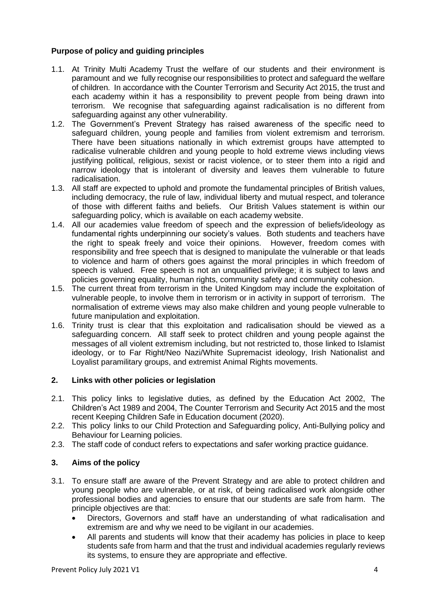# **Purpose of policy and guiding principles**

- 1.1. At Trinity Multi Academy Trust the welfare of our students and their environment is paramount and we fully recognise our responsibilities to protect and safeguard the welfare of children. In accordance with the Counter Terrorism and Security Act 2015, the trust and each academy within it has a responsibility to prevent people from being drawn into terrorism. We recognise that safeguarding against radicalisation is no different from safeguarding against any other vulnerability.
- 1.2. The Government's Prevent Strategy has raised awareness of the specific need to safeguard children, young people and families from violent extremism and terrorism. There have been situations nationally in which extremist groups have attempted to radicalise vulnerable children and young people to hold extreme views including views justifying political, religious, sexist or racist violence, or to steer them into a rigid and narrow ideology that is intolerant of diversity and leaves them vulnerable to future radicalisation.
- 1.3. All staff are expected to uphold and promote the fundamental principles of British values, including democracy, the rule of law, individual liberty and mutual respect, and tolerance of those with different faiths and beliefs. Our British Values statement is within our safeguarding policy, which is available on each academy website.
- 1.4. All our academies value freedom of speech and the expression of beliefs/ideology as fundamental rights underpinning our society's values. Both students and teachers have the right to speak freely and voice their opinions. However, freedom comes with responsibility and free speech that is designed to manipulate the vulnerable or that leads to violence and harm of others goes against the moral principles in which freedom of speech is valued. Free speech is not an unqualified privilege; it is subject to laws and policies governing equality, human rights, community safety and community cohesion.
- 1.5. The current threat from terrorism in the United Kingdom may include the exploitation of vulnerable people, to involve them in terrorism or in activity in support of terrorism. The normalisation of extreme views may also make children and young people vulnerable to future manipulation and exploitation.
- 1.6. Trinity trust is clear that this exploitation and radicalisation should be viewed as a safeguarding concern. All staff seek to protect children and young people against the messages of all violent extremism including, but not restricted to, those linked to Islamist ideology, or to Far Right/Neo Nazi/White Supremacist ideology, Irish Nationalist and Loyalist paramilitary groups, and extremist Animal Rights movements.

#### **2. Links with other policies or legislation**

- 2.1. This policy links to legislative duties, as defined by the Education Act 2002, The Children's Act 1989 and 2004, The Counter Terrorism and Security Act 2015 and the most recent Keeping Children Safe in Education document (2020).
- 2.2. This policy links to our Child Protection and Safeguarding policy, Anti-Bullying policy and Behaviour for Learning policies.
- 2.3. The staff code of conduct refers to expectations and safer working practice guidance.

# **3. Aims of the policy**

- 3.1. To ensure staff are aware of the Prevent Strategy and are able to protect children and young people who are vulnerable, or at risk, of being radicalised work alongside other professional bodies and agencies to ensure that our students are safe from harm. The principle objectives are that:
	- Directors, Governors and staff have an understanding of what radicalisation and extremism are and why we need to be vigilant in our academies.
	- All parents and students will know that their academy has policies in place to keep students safe from harm and that the trust and individual academies regularly reviews its systems, to ensure they are appropriate and effective.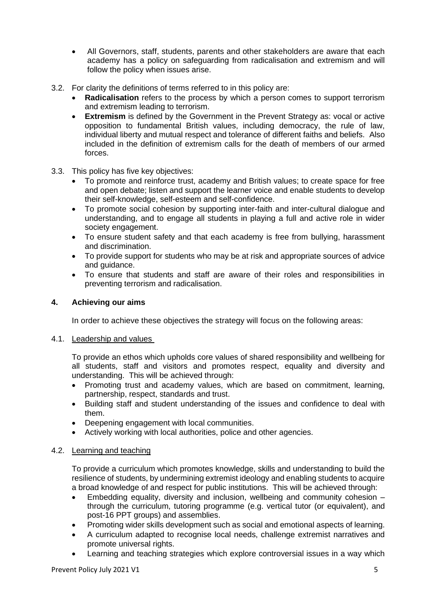- All Governors, staff, students, parents and other stakeholders are aware that each academy has a policy on safeguarding from radicalisation and extremism and will follow the policy when issues arise.
- 3.2. For clarity the definitions of terms referred to in this policy are:
	- **Radicalisation** refers to the process by which a person comes to support terrorism and extremism leading to terrorism.
	- **Extremism** is defined by the Government in the Prevent Strategy as: vocal or active opposition to fundamental British values, including democracy, the rule of law, individual liberty and mutual respect and tolerance of different faiths and beliefs. Also included in the definition of extremism calls for the death of members of our armed forces.
- 3.3. This policy has five key objectives:
	- To promote and reinforce trust, academy and British values; to create space for free and open debate; listen and support the learner voice and enable students to develop their self-knowledge, self-esteem and self-confidence.
	- To promote social cohesion by supporting inter-faith and inter-cultural dialogue and understanding, and to engage all students in playing a full and active role in wider society engagement.
	- To ensure student safety and that each academy is free from bullying, harassment and discrimination.
	- To provide support for students who may be at risk and appropriate sources of advice and guidance.
	- To ensure that students and staff are aware of their roles and responsibilities in preventing terrorism and radicalisation.

#### **4. Achieving our aims**

In order to achieve these objectives the strategy will focus on the following areas:

#### 4.1. Leadership and values

To provide an ethos which upholds core values of shared responsibility and wellbeing for all students, staff and visitors and promotes respect, equality and diversity and understanding. This will be achieved through:

- Promoting trust and academy values, which are based on commitment, learning, partnership, respect, standards and trust.
- Building staff and student understanding of the issues and confidence to deal with them.
- Deepening engagement with local communities.
- Actively working with local authorities, police and other agencies.

#### 4.2. Learning and teaching

To provide a curriculum which promotes knowledge, skills and understanding to build the resilience of students, by undermining extremist ideology and enabling students to acquire a broad knowledge of and respect for public institutions. This will be achieved through:

- Embedding equality, diversity and inclusion, wellbeing and community cohesion through the curriculum, tutoring programme (e.g. vertical tutor (or equivalent), and post-16 PPT groups) and assemblies.
- Promoting wider skills development such as social and emotional aspects of learning.
- A curriculum adapted to recognise local needs, challenge extremist narratives and promote universal rights.
- Learning and teaching strategies which explore controversial issues in a way which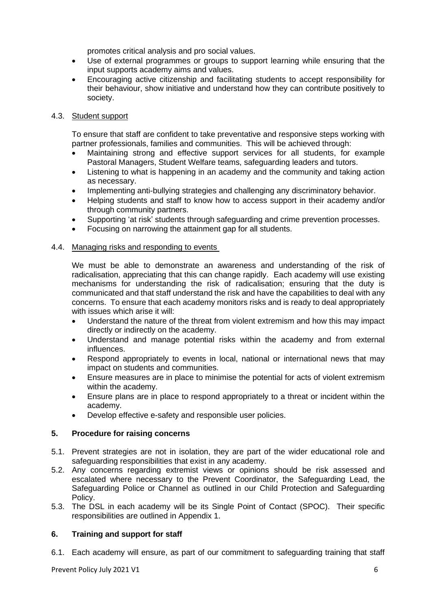promotes critical analysis and pro social values.

- Use of external programmes or groups to support learning while ensuring that the input supports academy aims and values.
- Encouraging active citizenship and facilitating students to accept responsibility for their behaviour, show initiative and understand how they can contribute positively to society.

#### 4.3. Student support

To ensure that staff are confident to take preventative and responsive steps working with partner professionals, families and communities. This will be achieved through:

- Maintaining strong and effective support services for all students, for example Pastoral Managers, Student Welfare teams, safeguarding leaders and tutors.
- Listening to what is happening in an academy and the community and taking action as necessary.
- Implementing anti-bullying strategies and challenging any discriminatory behavior.
- Helping students and staff to know how to access support in their academy and/or through community partners.
- Supporting 'at risk' students through safeguarding and crime prevention processes.
- Focusing on narrowing the attainment gap for all students.

#### 4.4. Managing risks and responding to events

We must be able to demonstrate an awareness and understanding of the risk of radicalisation, appreciating that this can change rapidly. Each academy will use existing mechanisms for understanding the risk of radicalisation; ensuring that the duty is communicated and that staff understand the risk and have the capabilities to deal with any concerns. To ensure that each academy monitors risks and is ready to deal appropriately with issues which arise it will:

- Understand the nature of the threat from violent extremism and how this may impact directly or indirectly on the academy.
- Understand and manage potential risks within the academy and from external influences.
- Respond appropriately to events in local, national or international news that may impact on students and communities.
- Ensure measures are in place to minimise the potential for acts of violent extremism within the academy.
- Ensure plans are in place to respond appropriately to a threat or incident within the academy.
- Develop effective e-safety and responsible user policies.

#### **5. Procedure for raising concerns**

- 5.1. Prevent strategies are not in isolation, they are part of the wider educational role and safeguarding responsibilities that exist in any academy.
- 5.2. Any concerns regarding extremist views or opinions should be risk assessed and escalated where necessary to the Prevent Coordinator, the Safeguarding Lead, the Safeguarding Police or Channel as outlined in our Child Protection and Safeguarding Policy.
- 5.3. The DSL in each academy will be its Single Point of Contact (SPOC). Their specific responsibilities are outlined in Appendix 1.

#### **6. Training and support for staff**

6.1. Each academy will ensure, as part of our commitment to safeguarding training that staff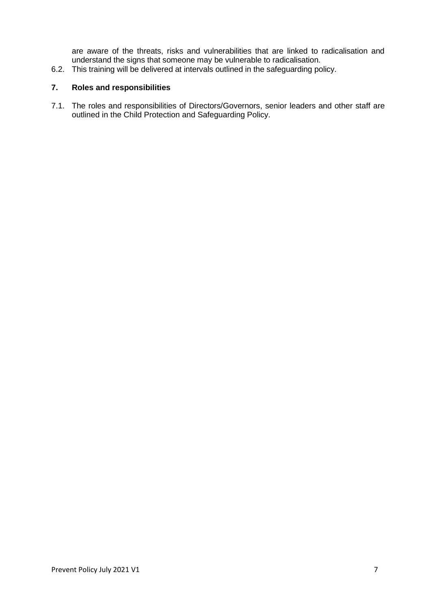are aware of the threats, risks and vulnerabilities that are linked to radicalisation and understand the signs that someone may be vulnerable to radicalisation.

6.2. This training will be delivered at intervals outlined in the safeguarding policy.

#### **7. Roles and responsibilities**

7.1. The roles and responsibilities of Directors/Governors, senior leaders and other staff are outlined in the Child Protection and Safeguarding Policy.